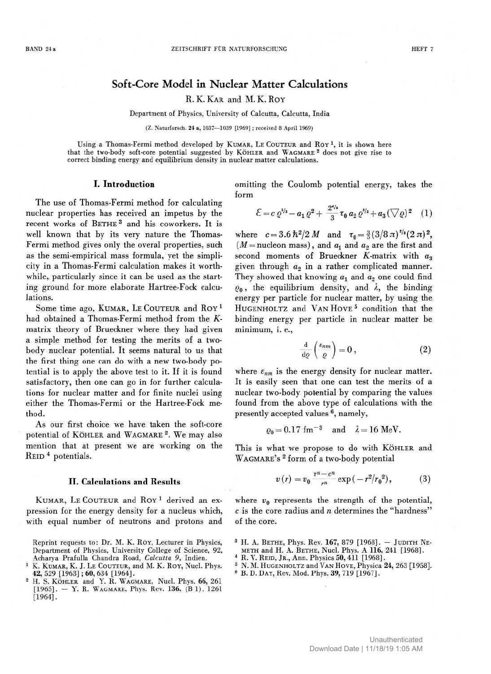# **Soft-Core Model in Nuclear Matter Calculations**

### R. K. KAR and M. K. ROY

Department of Physics, University of Calcutta, Calcutta, India

(Z. Naturforsch. 24 a, 1037—1039 [1969] ; received 8 April 1969)

Using a Thomas-Fermi method developed by KUMAR, LE COUTEUR and ROY<sup>1</sup>, it is shown here that the two-body soft-core potential suggested by KÖHLER and WAGMARE 2 does not give rise to correct binding energy and equilibrium density in nuclear matter calculations.

#### **I. Introduction**

The use of Thomas-Fermi method for calculating nuclear properties has received an impetus by the recent works of BETHE 3 and his coworkers. It is well known that by its very nature the Thomas-Fermi method gives only the overal properties, such as the semi-empirical mass formula, yet the simplicity in a Thomas-Fermi calculation makes it worthwhile, particularly since it can be used as the starting ground for more elaborate Hartree-Fock calculations.

Some time ago, KUMAR, LE COUTEUR and ROY<sup>1</sup> had obtained a Thomas-Fermi method from the *K*matrix theory of Brueckner where they had given a simple method for testing the merits of a twobody nuclear potential. It seems natural to us that the first thing one can do with a new two-body potential is to apply the above test to it. If it is found satisfactory, then one can go in for further calculations for nuclear matter and for finite nuclei using either the Thomas-Fermi or the Hartree-Fock method.

As our first choice we have taken the soft-core potential of KÖHLER and WAGMARE<sup>2</sup>. We may also mention that at present we are working on the REID 4 potentials.

#### **II. Calculations and Results**

KUMAR, LE COUTEUR and ROY<sup>1</sup> derived an expression for the energy density for a nucleus which, with equal number of neutrons and protons and

- Reprint requests to: Dr. M. K. ROY, Lecturer in Physics, Department of Physics, University College of Science, 92, Acharya Prafulla Chandra Road, *Calcutta 9,* Indien.
- K. KUMAR, K. J. LE COUTEUR, and M. K. ROY, Nucl. Phys. 42, 529 [1963] ; 60, 634 [1964].
- <sup>2</sup> H. S. KÖHLER and Y. R. WAGMARE, Nucl. Phys. 66, 261  $[1965]$ . - Y. R. WAGMARE, Phys. Rev. 136, (B 1), 1261 [1964].

omitting the Coulomb potential energy, takes the form

$$
\mathcal{E} = c \varrho^{s/s} - a_1 \varrho^2 + \frac{2^{s/s}}{3} \tau_0 a_2 \varrho^{s/s} + a_3 (\nabla \varrho)^2 \quad (1)
$$

where  $c = 3.6 \frac{\hbar^2}{2} M$  and  $\tau_0 = \frac{3}{5} (3/8 \pi)^{1/2} (2 \pi)^2$ ,  $(M = nucleon mass)$ , and  $a_1$  and  $a_2$  are the first and second moments of Brueckner  $K$ -matrix with  $a_3$ given through *a2* in a rather complicated manner. They showed that knowing *a^* and *a2* one could find  $\varrho_0$ , the equilibrium density, and  $\lambda$ , the binding energy per particle for nuclear matter, by using the HUGENHOLTZ and VAN HOVE<sup>5</sup> condition that the binding energy per particle in nuclear matter be minimum, i. e.,

$$
\frac{\mathrm{d}}{\mathrm{d}\varrho}\left(\frac{\varepsilon_{nm}}{\varrho}\right)=0\,,\tag{2}
$$

where  $\varepsilon_{nm}$  is the energy density for nuclear matter. It is easily seen that one can test the merits of a nuclear two-body potential by comparing the values found from the above type of calculations with the presently accepted values <sup>6</sup>, namely,

 $\varrho_0 = 0.17$  fm<sup>-3</sup> and  $\lambda = 16$  MeV.

This is what we propose to do with KÖHLER and WAGMARE's <sup>2</sup> form of a two-body potential

$$
v(r) = v_0 \frac{r^n - c^n}{r^n} \exp(-r^2/r_0^2), \qquad (3)
$$

where  $v_0$  represents the strength of the potential, *c* is the core radius and *n* determines the "hardness" of the core.

- <sup>3</sup> H. A. BETHE, Phys. Rev. 167, 879 [1968]. JUDITH NE-METH and H. A. BETHE, Nucl. Phys. A 116, 241 [1968].
- R. V. REID, JR., Ann. Physics 50, 411 [1968].
- 
- <sup>5</sup> N. M. HUGENHOLTZ and VAN HOVE, Physica 24, 263 [1958].
- 6 B. D. DAY, Rev. Mod. Phys. 39, 719 [1967].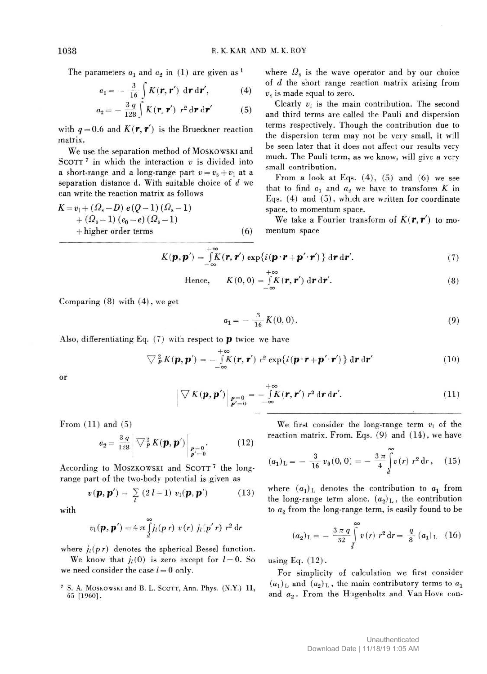The parameters  $a_1$  and  $a_2$  in (1) are given as  $<sup>1</sup>$ </sup>

$$
a_1 = -\frac{3}{16} \int_{0}^{1} K(\mathbf{r}, \mathbf{r}') \, d\mathbf{r} \, d\mathbf{r}', \qquad (4)
$$

$$
a_2 = -\frac{3q}{128} \int K(\mathbf{r}, \mathbf{r}') r^2 d\mathbf{r} d\mathbf{r}'
$$
 (5)

with  $q = 0.6$  and  $K(r, r')$  is the Brueckner reaction matrix.

We use the separation method of MOSKOWSKI and SCOTT<sup>7</sup> in which the interaction  $v$  is divided into a short-range and a long-range part  $v = v_s + v_1$  at a separation distance d. With suitable choice of *d* we can write the reaction matrix as follows

$$
K = v_1 + (\Omega_s - D) e(Q - 1) (\Omega_s - 1)
$$
  
+ (\Omega\_s - 1) (e\_0 - e) (\Omega\_s - 1)  
+ higher order terms (6)

where  $\Omega_s$  is the wave operator and by our choice of *d* the short range reaction matrix arising from *vs* is made equal to zero.

Clearly *v\* is the main contribution. The second and third terms are called the Pauli and dispersion terms respectively. Though the contribution due to the dispersion term may not be very small, it will be seen later that it does not affect our results very much. The Pauli term, as we know, will give a very small contribution.

From a look at Eqs.  $(4)$ ,  $(5)$  and  $(6)$  we see that to find  $a_1$  and  $a_2$  we have to transform  $K$  in Eqs. (4) and (5), which are written for coordinate space, to momentum space.

We take a Fourier transform of  $K(\mathbf{r}, \mathbf{r}')$  to momentum space

$$
K(\boldsymbol{p}, \boldsymbol{p}') = \int_{-\infty}^{+\infty} K(\boldsymbol{r}, \boldsymbol{r}') \exp\{i(\boldsymbol{p} \cdot \boldsymbol{r} + \boldsymbol{p}' \cdot \boldsymbol{r}')\} d\boldsymbol{r} d\boldsymbol{r}'. \tag{7}
$$

Hence, 
$$
K(0, 0) = \int_{-\infty}^{+\infty} K(\mathbf{r}, \mathbf{r}') d\mathbf{r} d\mathbf{r}'
$$
. (8)

Comparing (8) with (4), we get

$$
a_1 = -\frac{3}{16} K(0,0). \tag{9}
$$

Also, differentiating Eq.  $(7)$  with respect to **p** twice we have

$$
\nabla_{\boldsymbol{p}}^{2} K(\boldsymbol{p}, \boldsymbol{p}') = -\int_{-\infty}^{+\infty} K(\boldsymbol{r}, \boldsymbol{r}') r^{2} \exp\{i(\boldsymbol{p} \cdot \boldsymbol{r} + \boldsymbol{p}' \cdot \boldsymbol{r}')\} d\boldsymbol{r} d\boldsymbol{r}'
$$
(10)

or

$$
\nabla K(\boldsymbol{p}, \boldsymbol{p}')\Big|_{\substack{\boldsymbol{p}=0\\ \boldsymbol{p}'=0}} = -\int\limits_{-\infty}^{+\infty} K(\boldsymbol{r}, \boldsymbol{r}') \ r^2 \, d\boldsymbol{r} \, d\boldsymbol{r}'. \tag{11}
$$

From  $(11)$  and  $(5)$ 

$$
a_2 = \frac{3 q}{128} \left[ \nabla_P^2 K(\boldsymbol{p}, \boldsymbol{p}') \right]_{\substack{\boldsymbol{p} = 0 \\ \boldsymbol{p}' = 0}}.
$$
 (12)

According to MOSZKOWSKI and SCOTT<sup>7</sup> the longrange part of the two-body potential is given as

$$
v(\boldsymbol{p},\boldsymbol{p}') = \sum_{l} (2 l + 1) v_l(\boldsymbol{p},\boldsymbol{p}') \qquad (13)
$$

with

$$
v_1(\boldsymbol{p},\boldsymbol{p}')=4\,\pi\int\limits_d^\infty j_l(p\,r)\,\,v(r)\,\,j_l(p'\,r)\,\,r^2\,\mathrm{d}r
$$

where  $j_l(p \, r)$  denotes the spherical Bessel function.

We know that  $j_l(0)$  is zero except for  $l=0$ . So we need consider the case  $l = 0$  only.

<sup>7</sup> S. A. MOSKOWSKI and B. L. SCOTT, Ann. Phys. (N.Y.) 11, 65 [I960].

We first consider the long-range term  $v_1$  of the reaction matrix. From. Eqs. (9) and (14), we have

$$
(a_1)_{\mathcal{L}} = -\frac{3}{16}v_0(0,0) = -\frac{3\pi}{4}\int_{d}^{\infty}v(r)\ r^2\ \mathrm{d}r\,,\quad (15)
$$

where  $(a_1)$ <sub>L</sub> denotes the contribution to  $a_1$  from the long-range term alone.  $(a_2)$ <sub>L</sub>, the contribution to  $a_2$  from the long-range term, is easily found to be

$$
(a_2)_{\mathcal{L}} = -\frac{3 \pi q}{32} \int_{d}^{\infty} v(r) \ r^2 \, \mathrm{d}r = \frac{q}{8} \ (a_1)_{\mathcal{L}} \ (16)
$$

using Eq. (12).

For simplicity of calculation we first consider  $(a_1)_L$  and  $(a_2)_L$ , the main contributory terms to  $a_1$ and  $a_2$ . From the Hugenholtz and Van Hove con